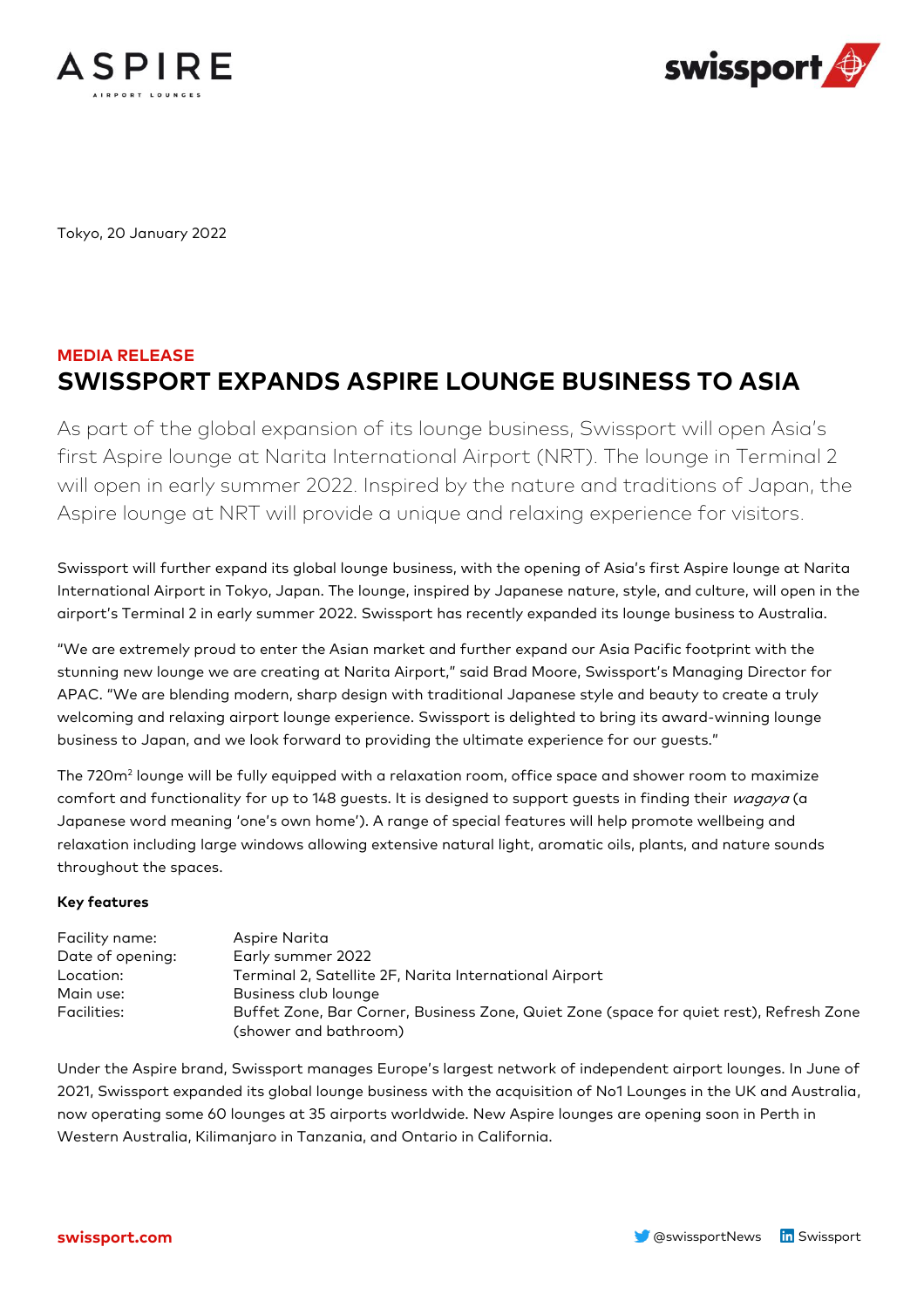



Tokyo, 20 January 2022

## **MEDIA RELEASE SWISSPORT EXPANDS ASPIRE LOUNGE BUSINESS TO ASIA**

As part of the global expansion of its lounge business, Swissport will open Asia's first Aspire lounge at Narita International Airport (NRT). The lounge in Terminal 2 will open in early summer 2022. Inspired by the nature and traditions of Japan, the Aspire lounge at NRT will provide a unique and relaxing experience for visitors.

Swissport will further expand its global lounge business, with the opening of Asia's first Aspire lounge at Narita International Airport in Tokyo, Japan. The lounge, inspired by Japanese nature, style, and culture, will open in the airport's Terminal 2 in early summer 2022. Swissport has recently expanded its lounge business to Australia.

"We are extremely proud to enter the Asian market and further expand our Asia Pacific footprint with the stunning new lounge we are creating at Narita Airport," said Brad Moore, Swissport's Managing Director for APAC. "We are blending modern, sharp design with traditional Japanese style and beauty to create a truly welcoming and relaxing airport lounge experience. Swissport is delighted to bring its award-winning lounge business to Japan, and we look forward to providing the ultimate experience for our guests."

The 720m $^{\rm 2}$  lounge will be fully equipped with a relaxation room, office space and shower room to maximize comfort and functionality for up to 148 guests. It is designed to support guests in finding their wagaya (a Japanese word meaning 'one's own home'). A range of special features will help promote wellbeing and relaxation including large windows allowing extensive natural light, aromatic oils, plants, and nature sounds throughout the spaces.

## **Key features**

| Facility name:   | Aspire Narita                                                                           |
|------------------|-----------------------------------------------------------------------------------------|
| Date of opening: | Early summer 2022                                                                       |
| Location:        | Terminal 2, Satellite 2F, Narita International Airport                                  |
| Main use:        | Business club lounge                                                                    |
| Facilities:      | Buffet Zone, Bar Corner, Business Zone, Quiet Zone (space for quiet rest), Refresh Zone |
|                  | (shower and bathroom)                                                                   |

Under the Aspire brand, Swissport manages Europe's largest network of independent airport lounges. In June of 2021, Swissport expanded its global lounge business with the acquisition of No1 Lounges in the UK and Australia, now operating some 60 lounges at 35 airports worldwide. New Aspire lounges are opening soon in Perth in Western Australia, Kilimanjaro in Tanzania, and Ontario in California.

**swissport.com Example 2018 Swissport Community Community Community Community Community Community Community Community Community Community Community Community Community Community Community Community Community Community**